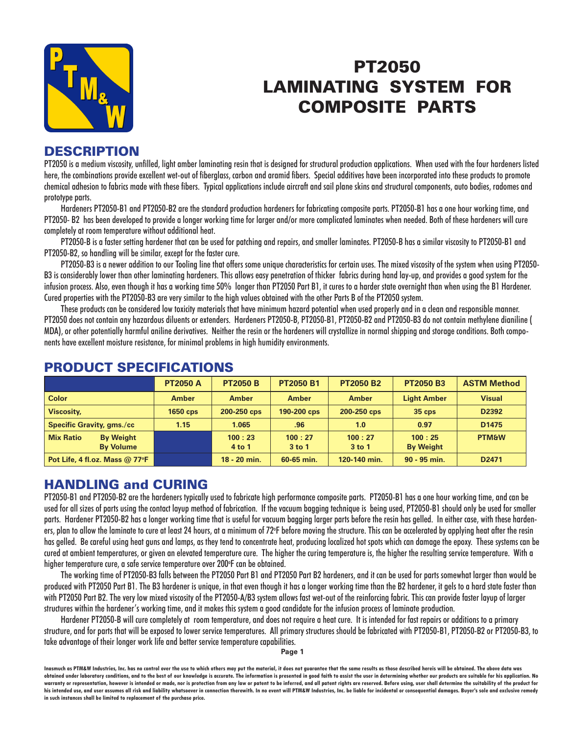

# PT2050 LAMINATING SYSTEM FOR COMPOSITE PARTS

#### **DESCRIPTION**

PT2050 is a medium viscosity, unfilled, light amber laminating resin that is designed for structural production applications. When used with the four hardeners listed here, the combinations provide excellent wet-out of fiberglass, carbon and aramid fibers. Special additives have been incorporated into these products to promote chemical adhesion to fabrics made with these fibers. Typical applications include aircraft and sail plane skins and structural components, auto bodies, radomes and prototype parts.

Hardeners PT2050-B1 and PT2050-B2 are the standard production hardeners for fabricating composite parts. PT2050-B1 has a one hour working time, and PT2050- B2 has been developed to provide a longer working time for larger and/or more complicated laminates when needed. Both of these hardeners will cure completely at room temperature without additional heat.

PT2050-B is a faster setting hardener that can be used for patching and repairs, and smaller laminates. PT2050-B has a similar viscosity to PT2050-B1 and PT2050-B2, so handling will be similar, except for the faster cure.

PT2050-B3 is a newer addition to our Tooling line that offers some unique characteristics for certain uses. The mixed viscosity of the system when using PT2050- B3 is considerably lower than other laminating hardeners. This allows easy penetration of thicker fabrics during hand lay-up, and provides a good system for the infusion process. Also, even though it has a working time 50% longer than PT2050 Part B1, it cures to a harder state overnight than when using the B1 Hardener. Cured properties with the PT2050-B3 are very similar to the high values obtained with the other Parts B of the PT2050 system.

These products can be considered low toxicity materials that have minimum hazard potential when used properly and in a clean and responsible manner. PT2050 does not contain any hazardous diluents or extenders. Hardeners PT2050-B, PT2050-B1, PT2050-B2 and PT2050-B3 do not contain methylene dianiline ( MDA), or other potentially harmful aniline derivatives. Neither the resin or the hardeners will crystallize in normal shipping and storage conditions. Both components have excellent moisture resistance, for minimal problems in high humidity environments.

|                                                          | <b>PT2050 A</b> | <b>PT2050 B</b>    | <b>PT2050 B1</b>   | <b>PT2050 B2</b>   | <b>PT2050 B3</b>           | <b>ASTM Method</b> |
|----------------------------------------------------------|-----------------|--------------------|--------------------|--------------------|----------------------------|--------------------|
| <b>Color</b>                                             | <b>Amber</b>    | <b>Amber</b>       | <b>Amber</b>       | <b>Amber</b>       | <b>Light Amber</b>         | <b>Visual</b>      |
| <b>Viscosity,</b>                                        | <b>1650 cps</b> | 200-250 cps        | 190-200 cps        | 200-250 cps        | $35$ cps                   | D2392              |
| <b>Specific Gravity, gms./cc</b>                         | 1.15            | 1.065              | .96                | 1.0                | 0.97                       | D <sub>1475</sub>  |
| <b>Mix Ratio</b><br><b>By Weight</b><br><b>By Volume</b> |                 | 100:23<br>$4$ to 1 | 100:27<br>$3$ to 1 | 100:27<br>$3$ to 1 | 100:25<br><b>By Weight</b> | <b>PTM&amp;W</b>   |
| Pot Life, 4 fl.oz. Mass $@$ 77 ${}^{\circ}$ F            |                 | $18 - 20$ min.     | 60-65 min.         | 120-140 min.       | $90 - 95$ min.             | D <sub>2471</sub>  |

#### PRODUCT SPECIFICATIONS

## HANDLING and CURING

PT2050-B1 and PT2050-B2 are the hardeners typically used to fabricate high performance composite parts. PT2050-B1 has a one hour working time, and can be used for all sizes of parts using the contact layup method of fabrication. If the vacuum bagging technique is being used, PT2050-B1 should only be used for smaller parts. Hardener PT2050-B2 has a longer working time that is useful for vacuum bagging larger parts before the resin has gelled. In either case, with these hardeners, plan to allow the laminate to cure at least 24 hours, at a minimum of 72°F before moving the structure. This can be accelerated by applying heat after the resin has gelled. Be careful using heat guns and lamps, as they tend to concentrate heat, producing localized hot spots which can damage the epoxy. These systems can be cured at ambient temperatures, or given an elevated temperature cure. The higher the curing temperature is, the higher the resulting service temperature. With a higher temperature cure, a safe service temperature over 200°F can be obtained.

The working time of PT2050-B3 falls between the PT2050 Part B1 and PT2050 Part B2 hardeners, and it can be used for parts somewhat larger than would be produced with PT2050 Part B1. The B3 hardener is unique, in that even though it has a longer working time than the B2 hardener, it gels to a hard state faster than with PT2050 Part B2. The very low mixed viscosity of the PT2050-A/B3 system allows fast wet-out of the reinforcing fabric. This can provide faster layup of larger structures within the hardener's working time, and it makes this system a good candidate for the infusion process of laminate production.

Hardener PT2050-B will cure completely at room temperature, and does not require a heat cure. It is intended for fast repairs or additions to a primary structure, and for parts that will be exposed to lower service temperatures. All primary structures should be fabricated with PT2050-B1, PT2050-B2 or PT2050-B3, to take advantage of their longer work life and better service temperature capabilities.

**Page 1**

**Inasmuch as PTM&W Industries, Inc. has no control over the use to which others may put the material, it does not guarantee that the same results as those described hereis will be obtained. The above data was**  obtained under laboratory conditions, and to the best of our knowledge is accurate. The information is presented in good faith to assist the user in determining whether our products are suitable for his application. No warranty or representation, however is intended or made, nor is protection from any law or patent to be inferred, and all patent rights are reserved. Before using, user shall determine the suitability of the product for his intended use, and user assumes all risk and liability whatsoever in connection therewith. In no event will PTM&W Industries, Inc. be liable for incidental or consequential damages. Buyer's sole and exclusive remedy **in such instances shall be limited to replacement of the purchase price.**